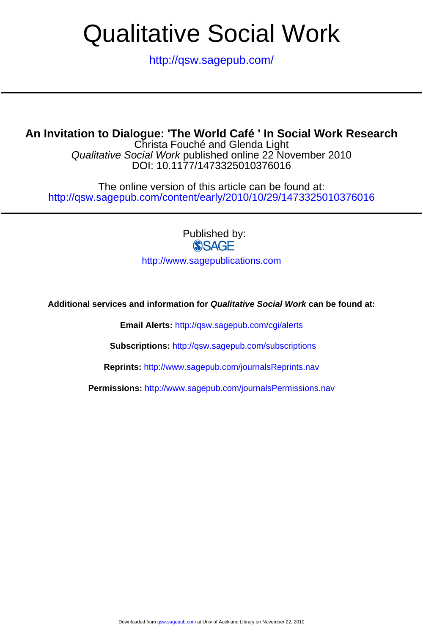<http://qsw.sagepub.com/>

# **An Invitation to Dialogue: 'The World Café ' In Social Work Research**

DOI: 10.1177/1473325010376016 Qualitative Social Work published online 22 November 2010 Christa Fouché and Glenda Light

<http://qsw.sagepub.com/content/early/2010/10/29/1473325010376016> The online version of this article can be found at:

Published by:<br>
SAGE

<http://www.sagepublications.com>

**Additional services and information for Qualitative Social Work can be found at:**

**Email Alerts:** <http://qsw.sagepub.com/cgi/alerts>

**Subscriptions:** <http://qsw.sagepub.com/subscriptions>

**Reprints:** <http://www.sagepub.com/journalsReprints.nav>

**Permissions:** <http://www.sagepub.com/journalsPermissions.nav>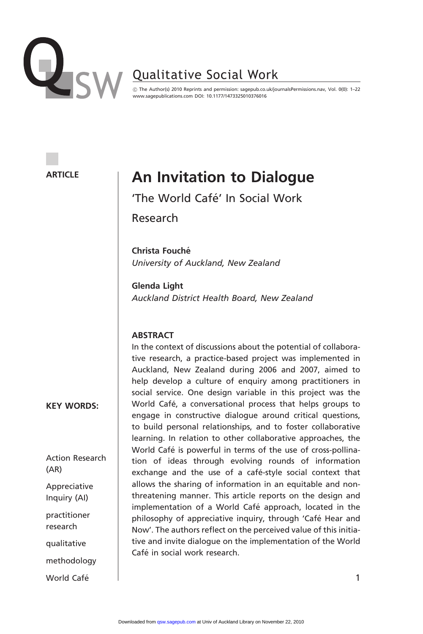

! The Author(s) 2010 Reprints and permission: sagepub.co.uk/journalsPermissions.nav, Vol. 0(0): 1–22 www.sagepublications.com DOI: 10.1177/1473325010376016

#### **ARTICLE**

# An Invitation to Dialogue

'The World Café' In Social Work

Research

Christa Fouché University of Auckland, New Zealand

Glenda Light Auckland District Health Board, New Zealand

#### **ABSTRACT**

In the context of discussions about the potential of collaborative research, a practice-based project was implemented in Auckland, New Zealand during 2006 and 2007, aimed to help develop a culture of enquiry among practitioners in social service. One design variable in this project was the World Café, a conversational process that helps groups to engage in constructive dialogue around critical questions, to build personal relationships, and to foster collaborative learning. In relation to other collaborative approaches, the World Café is powerful in terms of the use of cross-pollination of ideas through evolving rounds of information exchange and the use of a café-style social context that allows the sharing of information in an equitable and nonthreatening manner. This article reports on the design and implementation of a World Café approach, located in the philosophy of appreciative inquiry, through 'Café Hear and Now'. The authors reflect on the perceived value of this initiative and invite dialogue on the implementation of the World Café in social work research

KEY WORDS:

Action Research (AR)

Appreciative Inquiry (AI)

practitioner research

qualitative

methodology

World Café and the contract of the contract of the contract of the contract of the contract of the contract of the contract of the contract of the contract of the contract of the contract of the contract of the contract of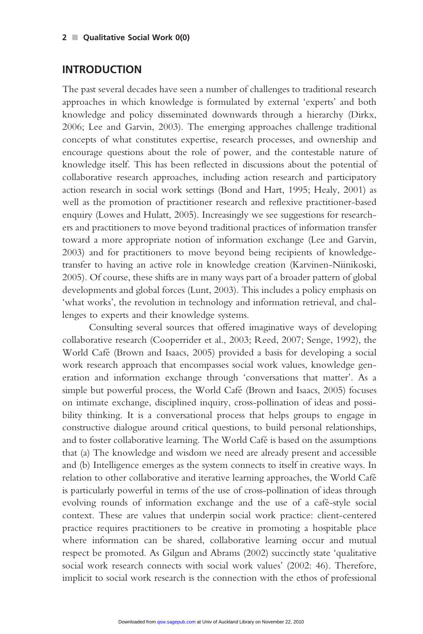## INTRODUCTION

The past several decades have seen a number of challenges to traditional research approaches in which knowledge is formulated by external 'experts' and both knowledge and policy disseminated downwards through a hierarchy (Dirkx, 2006; Lee and Garvin, 2003). The emerging approaches challenge traditional concepts of what constitutes expertise, research processes, and ownership and encourage questions about the role of power, and the contestable nature of knowledge itself. This has been reflected in discussions about the potential of collaborative research approaches, including action research and participatory action research in social work settings (Bond and Hart, 1995; Healy, 2001) as well as the promotion of practitioner research and reflexive practitioner-based enquiry (Lowes and Hulatt, 2005). Increasingly we see suggestions for researchers and practitioners to move beyond traditional practices of information transfer toward a more appropriate notion of information exchange (Lee and Garvin, 2003) and for practitioners to move beyond being recipients of knowledgetransfer to having an active role in knowledge creation (Karvinen-Niinikoski, 2005). Of course, these shifts are in many ways part of a broader pattern of global developments and global forces (Lunt, 2003). This includes a policy emphasis on 'what works', the revolution in technology and information retrieval, and challenges to experts and their knowledge systems.

Consulting several sources that offered imaginative ways of developing collaborative research (Cooperrider et al., 2003; Reed, 2007; Senge, 1992), the World Cafe´ (Brown and Isaacs, 2005) provided a basis for developing a social work research approach that encompasses social work values, knowledge generation and information exchange through 'conversations that matter'. As a simple but powerful process, the World Cafe´ (Brown and Isaacs, 2005) focuses on intimate exchange, disciplined inquiry, cross-pollination of ideas and possibility thinking. It is a conversational process that helps groups to engage in constructive dialogue around critical questions, to build personal relationships, and to foster collaborative learning. The World Cafe´ is based on the assumptions that (a) The knowledge and wisdom we need are already present and accessible and (b) Intelligence emerges as the system connects to itself in creative ways. In relation to other collaborative and iterative learning approaches, the World Café is particularly powerful in terms of the use of cross-pollination of ideas through evolving rounds of information exchange and the use of a café-style social context. These are values that underpin social work practice: client-centered practice requires practitioners to be creative in promoting a hospitable place where information can be shared, collaborative learning occur and mutual respect be promoted. As Gilgun and Abrams (2002) succinctly state 'qualitative social work research connects with social work values' (2002: 46). Therefore, implicit to social work research is the connection with the ethos of professional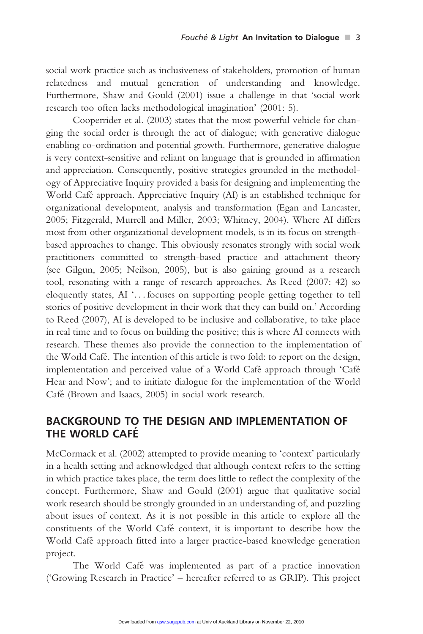social work practice such as inclusiveness of stakeholders, promotion of human relatedness and mutual generation of understanding and knowledge. Furthermore, Shaw and Gould (2001) issue a challenge in that 'social work research too often lacks methodological imagination' (2001: 5).

Cooperrider et al. (2003) states that the most powerful vehicle for changing the social order is through the act of dialogue; with generative dialogue enabling co-ordination and potential growth. Furthermore, generative dialogue is very context-sensitive and reliant on language that is grounded in affirmation and appreciation. Consequently, positive strategies grounded in the methodology of Appreciative Inquiry provided a basis for designing and implementing the World Café approach. Appreciative Inquiry (AI) is an established technique for organizational development, analysis and transformation (Egan and Lancaster, 2005; Fitzgerald, Murrell and Miller, 2003; Whitney, 2004). Where AI differs most from other organizational development models, is in its focus on strengthbased approaches to change. This obviously resonates strongly with social work practitioners committed to strength-based practice and attachment theory (see Gilgun, 2005; Neilson, 2005), but is also gaining ground as a research tool, resonating with a range of research approaches. As Reed (2007: 42) so eloquently states, AI '... focuses on supporting people getting together to tell stories of positive development in their work that they can build on.' According to Reed (2007), AI is developed to be inclusive and collaborative, to take place in real time and to focus on building the positive; this is where AI connects with research. These themes also provide the connection to the implementation of the World Café. The intention of this article is two fold: to report on the design, implementation and perceived value of a World Café approach through 'Café Hear and Now'; and to initiate dialogue for the implementation of the World Café (Brown and Isaacs, 2005) in social work research.

# BACKGROUND TO THE DESIGN AND IMPLEMENTATION OF THE WORLD CAFE´

McCormack et al. (2002) attempted to provide meaning to 'context' particularly in a health setting and acknowledged that although context refers to the setting in which practice takes place, the term does little to reflect the complexity of the concept. Furthermore, Shaw and Gould (2001) argue that qualitative social work research should be strongly grounded in an understanding of, and puzzling about issues of context. As it is not possible in this article to explore all the constituents of the World Cafe´ context, it is important to describe how the World Café approach fitted into a larger practice-based knowledge generation project.

The World Café was implemented as part of a practice innovation ('Growing Research in Practice' – hereafter referred to as GRIP). This project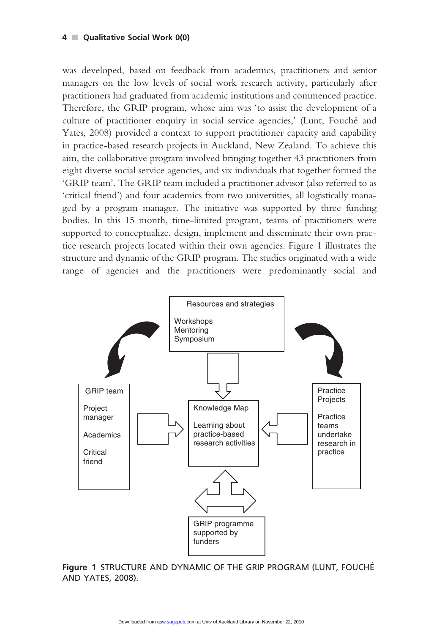#### $4 \blacksquare$  Qualitative Social Work 0(0)

was developed, based on feedback from academics, practitioners and senior managers on the low levels of social work research activity, particularly after practitioners had graduated from academic institutions and commenced practice. Therefore, the GRIP program, whose aim was 'to assist the development of a culture of practitioner enquiry in social service agencies,' (Lunt, Fouche´ and Yates, 2008) provided a context to support practitioner capacity and capability in practice-based research projects in Auckland, New Zealand. To achieve this aim, the collaborative program involved bringing together 43 practitioners from eight diverse social service agencies, and six individuals that together formed the 'GRIP team'. The GRIP team included a practitioner advisor (also referred to as 'critical friend') and four academics from two universities, all logistically managed by a program manager. The initiative was supported by three funding bodies. In this 15 month, time-limited program, teams of practitioners were supported to conceptualize, design, implement and disseminate their own practice research projects located within their own agencies. Figure 1 illustrates the structure and dynamic of the GRIP program. The studies originated with a wide range of agencies and the practitioners were predominantly social and



Figure 1 STRUCTURE AND DYNAMIC OF THE GRIP PROGRAM (LUNT, FOUCHE´ AND YATES, 2008).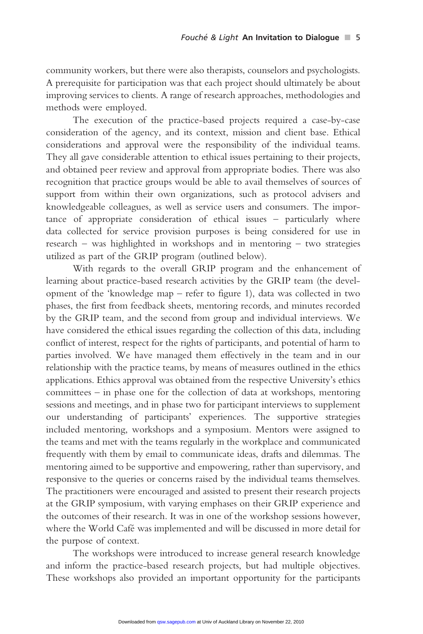community workers, but there were also therapists, counselors and psychologists. A prerequisite for participation was that each project should ultimately be about improving services to clients. A range of research approaches, methodologies and methods were employed.

The execution of the practice-based projects required a case-by-case consideration of the agency, and its context, mission and client base. Ethical considerations and approval were the responsibility of the individual teams. They all gave considerable attention to ethical issues pertaining to their projects, and obtained peer review and approval from appropriate bodies. There was also recognition that practice groups would be able to avail themselves of sources of support from within their own organizations, such as protocol advisers and knowledgeable colleagues, as well as service users and consumers. The importance of appropriate consideration of ethical issues – particularly where data collected for service provision purposes is being considered for use in research – was highlighted in workshops and in mentoring – two strategies utilized as part of the GRIP program (outlined below).

With regards to the overall GRIP program and the enhancement of learning about practice-based research activities by the GRIP team (the development of the 'knowledge map – refer to figure 1), data was collected in two phases, the first from feedback sheets, mentoring records, and minutes recorded by the GRIP team, and the second from group and individual interviews. We have considered the ethical issues regarding the collection of this data, including conflict of interest, respect for the rights of participants, and potential of harm to parties involved. We have managed them effectively in the team and in our relationship with the practice teams, by means of measures outlined in the ethics applications. Ethics approval was obtained from the respective University's ethics committees – in phase one for the collection of data at workshops, mentoring sessions and meetings, and in phase two for participant interviews to supplement our understanding of participants' experiences. The supportive strategies included mentoring, workshops and a symposium. Mentors were assigned to the teams and met with the teams regularly in the workplace and communicated frequently with them by email to communicate ideas, drafts and dilemmas. The mentoring aimed to be supportive and empowering, rather than supervisory, and responsive to the queries or concerns raised by the individual teams themselves. The practitioners were encouraged and assisted to present their research projects at the GRIP symposium, with varying emphases on their GRIP experience and the outcomes of their research. It was in one of the workshop sessions however, where the World Café was implemented and will be discussed in more detail for the purpose of context.

The workshops were introduced to increase general research knowledge and inform the practice-based research projects, but had multiple objectives. These workshops also provided an important opportunity for the participants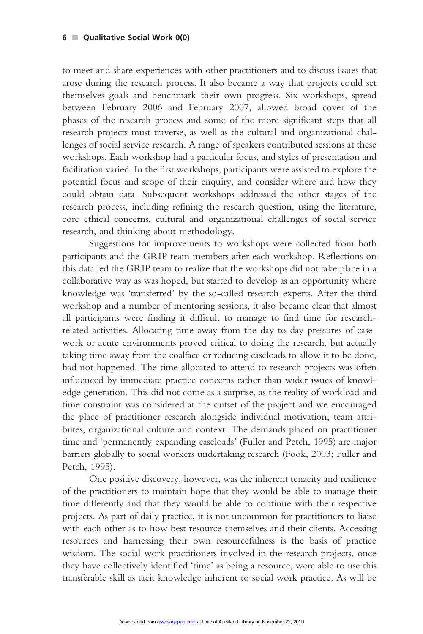to meet and share experiences with other practitioners and to discuss issues that arose during the research process. It also became a way that projects could set themselves goals and benchmark their own progress. Six workshops, spread between February 2006 and February 2007, allowed broad cover of the phases of the research process and some of the more significant steps that all research projects must traverse, as well as the cultural and organizational challenges of social service research. A range of speakers contributed sessions at these workshops. Each workshop had a particular focus, and styles of presentation and facilitation varied. In the first workshops, participants were assisted to explore the potential focus and scope of their enquiry, and consider where and how they could obtain data. Subsequent workshops addressed the other stages of the research process, including refining the research question, using the literature, core ethical concerns, cultural and organizational challenges of social service research, and thinking about methodology.

Suggestions for improvements to workshops were collected from both participants and the GRIP team members after each workshop. Reflections on this data led the GRIP team to realize that the workshops did not take place in a collaborative way as was hoped, but started to develop as an opportunity where knowledge was 'transferred' by the so-called research experts. After the third workshop and a number of mentoring sessions, it also became clear that almost all participants were finding it difficult to manage to find time for researchrelated activities. Allocating time away from the day-to-day pressures of casework or acute environments proved critical to doing the research, but actually taking time away from the coalface or reducing caseloads to allow it to be done, had not happened. The time allocated to attend to research projects was often influenced by immediate practice concerns rather than wider issues of knowledge generation. This did not come as a surprise, as the reality of workload and time constraint was considered at the outset of the project and we encouraged the place of practitioner research alongside individual motivation, team attributes, organizational culture and context. The demands placed on practitioner time and 'permanently expanding caseloads' (Fuller and Petch, 1995) are major barriers globally to social workers undertaking research (Fook, 2003; Fuller and Petch, 1995).

One positive discovery, however, was the inherent tenacity and resilience of the practitioners to maintain hope that they would be able to manage their time differently and that they would be able to continue with their respective projects. As part of daily practice, it is not uncommon for practitioners to liaise with each other as to how best resource themselves and their clients. Accessing resources and harnessing their own resourcefulness is the basis of practice wisdom. The social work practitioners involved in the research projects, once they have collectively identified 'time' as being a resource, were able to use this transferable skill as tacit knowledge inherent to social work practice. As will be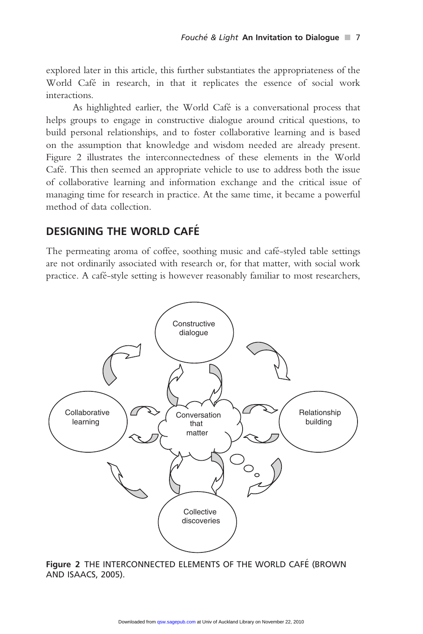explored later in this article, this further substantiates the appropriateness of the World Café in research, in that it replicates the essence of social work interactions.

As highlighted earlier, the World Café is a conversational process that helps groups to engage in constructive dialogue around critical questions, to build personal relationships, and to foster collaborative learning and is based on the assumption that knowledge and wisdom needed are already present. Figure 2 illustrates the interconnectedness of these elements in the World Café. This then seemed an appropriate vehicle to use to address both the issue of collaborative learning and information exchange and the critical issue of managing time for research in practice. At the same time, it became a powerful method of data collection.

# DESIGNING THE WORLD CAFE´

The permeating aroma of coffee, soothing music and café-styled table settings are not ordinarily associated with research or, for that matter, with social work practice. A café-style setting is however reasonably familiar to most researchers,



Figure 2 THE INTERCONNECTED ELEMENTS OF THE WORLD CAFÉ (BROWN AND ISAACS, 2005).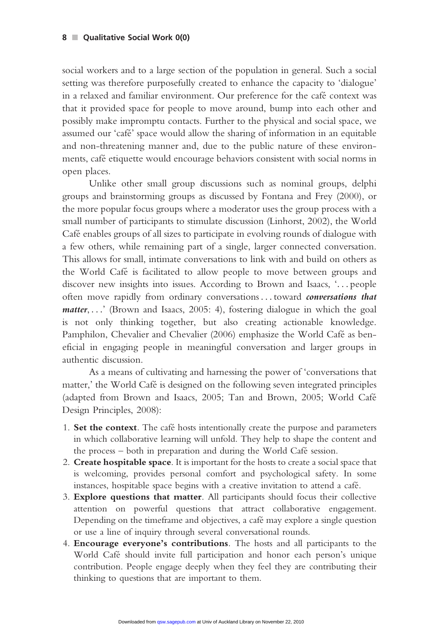social workers and to a large section of the population in general. Such a social setting was therefore purposefully created to enhance the capacity to 'dialogue' in a relaxed and familiar environment. Our preference for the café context was that it provided space for people to move around, bump into each other and possibly make impromptu contacts. Further to the physical and social space, we assumed our 'cafe´' space would allow the sharing of information in an equitable and non-threatening manner and, due to the public nature of these environments, café etiquette would encourage behaviors consistent with social norms in open places.

Unlike other small group discussions such as nominal groups, delphi groups and brainstorming groups as discussed by Fontana and Frey (2000), or the more popular focus groups where a moderator uses the group process with a small number of participants to stimulate discussion (Linhorst, 2002), the World Café enables groups of all sizes to participate in evolving rounds of dialogue with a few others, while remaining part of a single, larger connected conversation. This allows for small, intimate conversations to link with and build on others as the World Café is facilitated to allow people to move between groups and discover new insights into issues. According to Brown and Isaacs, '... people often move rapidly from ordinary conversations ... toward conversations that matter, ...' (Brown and Isaacs, 2005: 4), fostering dialogue in which the goal is not only thinking together, but also creating actionable knowledge. Pamphilon, Chevalier and Chevalier (2006) emphasize the World Café as beneficial in engaging people in meaningful conversation and larger groups in authentic discussion.

As a means of cultivating and harnessing the power of 'conversations that matter,' the World Café is designed on the following seven integrated principles (adapted from Brown and Isaacs, 2005; Tan and Brown, 2005; World Cafe´ Design Principles, 2008):

- 1. Set the context. The café hosts intentionally create the purpose and parameters in which collaborative learning will unfold. They help to shape the content and the process – both in preparation and during the World Café session.
- 2. Create hospitable space. It is important for the hosts to create a social space that is welcoming, provides personal comfort and psychological safety. In some instances, hospitable space begins with a creative invitation to attend a café.
- 3. Explore questions that matter. All participants should focus their collective attention on powerful questions that attract collaborative engagement. Depending on the timeframe and objectives, a café may explore a single question or use a line of inquiry through several conversational rounds.
- 4. Encourage everyone's contributions. The hosts and all participants to the World Café should invite full participation and honor each person's unique contribution. People engage deeply when they feel they are contributing their thinking to questions that are important to them.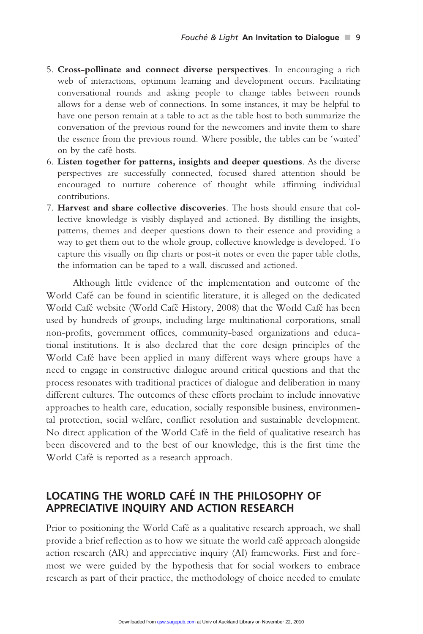- 5. Cross-pollinate and connect diverse perspectives. In encouraging a rich web of interactions, optimum learning and development occurs. Facilitating conversational rounds and asking people to change tables between rounds allows for a dense web of connections. In some instances, it may be helpful to have one person remain at a table to act as the table host to both summarize the conversation of the previous round for the newcomers and invite them to share the essence from the previous round. Where possible, the tables can be 'waited' on by the café hosts.
- 6. Listen together for patterns, insights and deeper questions. As the diverse perspectives are successfully connected, focused shared attention should be encouraged to nurture coherence of thought while affirming individual contributions.
- 7. Harvest and share collective discoveries. The hosts should ensure that collective knowledge is visibly displayed and actioned. By distilling the insights, patterns, themes and deeper questions down to their essence and providing a way to get them out to the whole group, collective knowledge is developed. To capture this visually on flip charts or post-it notes or even the paper table cloths, the information can be taped to a wall, discussed and actioned.

Although little evidence of the implementation and outcome of the World Café can be found in scientific literature, it is alleged on the dedicated World Café website (World Café History, 2008) that the World Café has been used by hundreds of groups, including large multinational corporations, small non-profits, government offices, community-based organizations and educational institutions. It is also declared that the core design principles of the World Café have been applied in many different ways where groups have a need to engage in constructive dialogue around critical questions and that the process resonates with traditional practices of dialogue and deliberation in many different cultures. The outcomes of these efforts proclaim to include innovative approaches to health care, education, socially responsible business, environmental protection, social welfare, conflict resolution and sustainable development. No direct application of the World Café in the field of qualitative research has been discovered and to the best of our knowledge, this is the first time the World Café is reported as a research approach.

# LOCATING THE WORLD CAFÉ IN THE PHILOSOPHY OF APPRECIATIVE INQUIRY AND ACTION RESEARCH

Prior to positioning the World Café as a qualitative research approach, we shall provide a brief reflection as to how we situate the world cafe´ approach alongside action research (AR) and appreciative inquiry (AI) frameworks. First and foremost we were guided by the hypothesis that for social workers to embrace research as part of their practice, the methodology of choice needed to emulate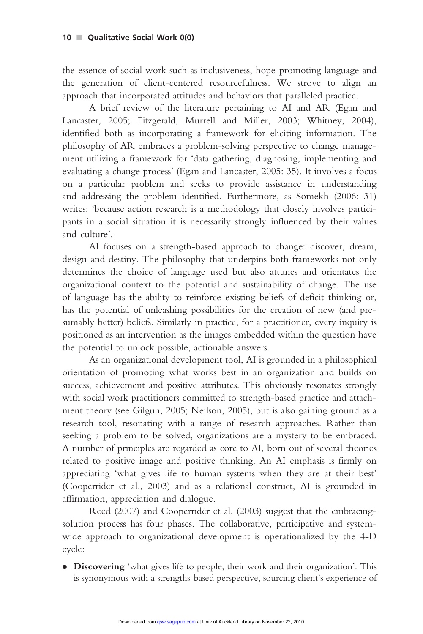the essence of social work such as inclusiveness, hope-promoting language and the generation of client-centered resourcefulness. We strove to align an approach that incorporated attitudes and behaviors that paralleled practice.

A brief review of the literature pertaining to AI and AR (Egan and Lancaster, 2005; Fitzgerald, Murrell and Miller, 2003; Whitney, 2004), identified both as incorporating a framework for eliciting information. The philosophy of AR embraces a problem-solving perspective to change management utilizing a framework for 'data gathering, diagnosing, implementing and evaluating a change process' (Egan and Lancaster, 2005: 35). It involves a focus on a particular problem and seeks to provide assistance in understanding and addressing the problem identified. Furthermore, as Somekh (2006: 31) writes: 'because action research is a methodology that closely involves participants in a social situation it is necessarily strongly influenced by their values and culture'.

AI focuses on a strength-based approach to change: discover, dream, design and destiny. The philosophy that underpins both frameworks not only determines the choice of language used but also attunes and orientates the organizational context to the potential and sustainability of change. The use of language has the ability to reinforce existing beliefs of deficit thinking or, has the potential of unleashing possibilities for the creation of new (and presumably better) beliefs. Similarly in practice, for a practitioner, every inquiry is positioned as an intervention as the images embedded within the question have the potential to unlock possible, actionable answers.

As an organizational development tool, AI is grounded in a philosophical orientation of promoting what works best in an organization and builds on success, achievement and positive attributes. This obviously resonates strongly with social work practitioners committed to strength-based practice and attachment theory (see Gilgun, 2005; Neilson, 2005), but is also gaining ground as a research tool, resonating with a range of research approaches. Rather than seeking a problem to be solved, organizations are a mystery to be embraced. A number of principles are regarded as core to AI, born out of several theories related to positive image and positive thinking. An AI emphasis is firmly on appreciating 'what gives life to human systems when they are at their best' (Cooperrider et al., 2003) and as a relational construct, AI is grounded in affirmation, appreciation and dialogue.

Reed (2007) and Cooperrider et al. (2003) suggest that the embracingsolution process has four phases. The collaborative, participative and systemwide approach to organizational development is operationalized by the 4-D cycle:

. Discovering 'what gives life to people, their work and their organization'. This is synonymous with a strengths-based perspective, sourcing client's experience of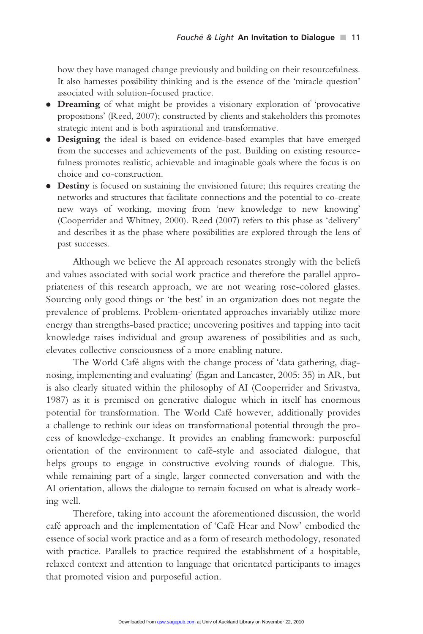how they have managed change previously and building on their resourcefulness. It also harnesses possibility thinking and is the essence of the 'miracle question' associated with solution-focused practice.

- . Dreaming of what might be provides a visionary exploration of 'provocative propositions' (Reed, 2007); constructed by clients and stakeholders this promotes strategic intent and is both aspirational and transformative.
- . Designing the ideal is based on evidence-based examples that have emerged from the successes and achievements of the past. Building on existing resourcefulness promotes realistic, achievable and imaginable goals where the focus is on choice and co-construction.
- . Destiny is focused on sustaining the envisioned future; this requires creating the networks and structures that facilitate connections and the potential to co-create new ways of working, moving from 'new knowledge to new knowing' (Cooperrider and Whitney, 2000). Reed (2007) refers to this phase as 'delivery' and describes it as the phase where possibilities are explored through the lens of past successes.

Although we believe the AI approach resonates strongly with the beliefs and values associated with social work practice and therefore the parallel appropriateness of this research approach, we are not wearing rose-colored glasses. Sourcing only good things or 'the best' in an organization does not negate the prevalence of problems. Problem-orientated approaches invariably utilize more energy than strengths-based practice; uncovering positives and tapping into tacit knowledge raises individual and group awareness of possibilities and as such, elevates collective consciousness of a more enabling nature.

The World Café aligns with the change process of 'data gathering, diagnosing, implementing and evaluating' (Egan and Lancaster, 2005: 35) in AR, but is also clearly situated within the philosophy of AI (Cooperrider and Srivastva, 1987) as it is premised on generative dialogue which in itself has enormous potential for transformation. The World Café however, additionally provides a challenge to rethink our ideas on transformational potential through the process of knowledge-exchange. It provides an enabling framework: purposeful orientation of the environment to café-style and associated dialogue, that helps groups to engage in constructive evolving rounds of dialogue. This, while remaining part of a single, larger connected conversation and with the AI orientation, allows the dialogue to remain focused on what is already working well.

Therefore, taking into account the aforementioned discussion, the world café approach and the implementation of 'Café Hear and Now' embodied the essence of social work practice and as a form of research methodology, resonated with practice. Parallels to practice required the establishment of a hospitable, relaxed context and attention to language that orientated participants to images that promoted vision and purposeful action.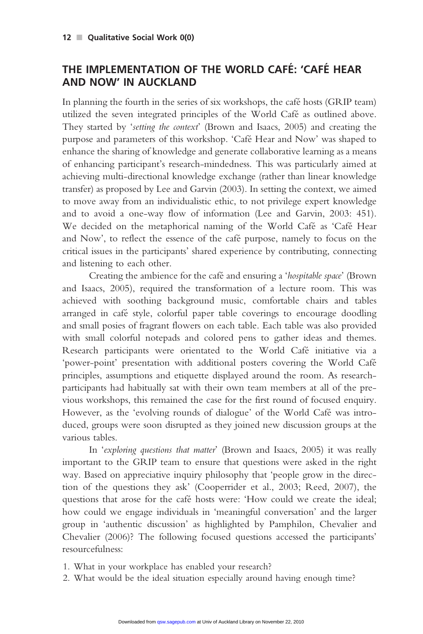# THE IMPLEMENTATION OF THE WORLD CAFÉ: 'CAFÉ HEAR AND NOW' IN AUCKLAND

In planning the fourth in the series of six workshops, the café hosts (GRIP team) utilized the seven integrated principles of the World Café as outlined above. They started by 'setting the context' (Brown and Isaacs, 2005) and creating the purpose and parameters of this workshop. 'Café Hear and Now' was shaped to enhance the sharing of knowledge and generate collaborative learning as a means of enhancing participant's research-mindedness. This was particularly aimed at achieving multi-directional knowledge exchange (rather than linear knowledge transfer) as proposed by Lee and Garvin (2003). In setting the context, we aimed to move away from an individualistic ethic, to not privilege expert knowledge and to avoid a one-way flow of information (Lee and Garvin, 2003: 451). We decided on the metaphorical naming of the World Café as 'Café Hear and Now', to reflect the essence of the café purpose, namely to focus on the critical issues in the participants' shared experience by contributing, connecting and listening to each other.

Creating the ambience for the café and ensuring a 'hospitable space' (Brown) and Isaacs, 2005), required the transformation of a lecture room. This was achieved with soothing background music, comfortable chairs and tables arranged in cafe´ style, colorful paper table coverings to encourage doodling and small posies of fragrant flowers on each table. Each table was also provided with small colorful notepads and colored pens to gather ideas and themes. Research participants were orientated to the World Café initiative via a 'power-point' presentation with additional posters covering the World Cafe´ principles, assumptions and etiquette displayed around the room. As researchparticipants had habitually sat with their own team members at all of the previous workshops, this remained the case for the first round of focused enquiry. However, as the 'evolving rounds of dialogue' of the World Café was introduced, groups were soon disrupted as they joined new discussion groups at the various tables.

In 'exploring questions that matter' (Brown and Isaacs, 2005) it was really important to the GRIP team to ensure that questions were asked in the right way. Based on appreciative inquiry philosophy that 'people grow in the direction of the questions they ask' (Cooperrider et al., 2003; Reed, 2007), the questions that arose for the café hosts were: 'How could we create the ideal; how could we engage individuals in 'meaningful conversation' and the larger group in 'authentic discussion' as highlighted by Pamphilon, Chevalier and Chevalier (2006)? The following focused questions accessed the participants' resourcefulness:

1. What in your workplace has enabled your research?

2. What would be the ideal situation especially around having enough time?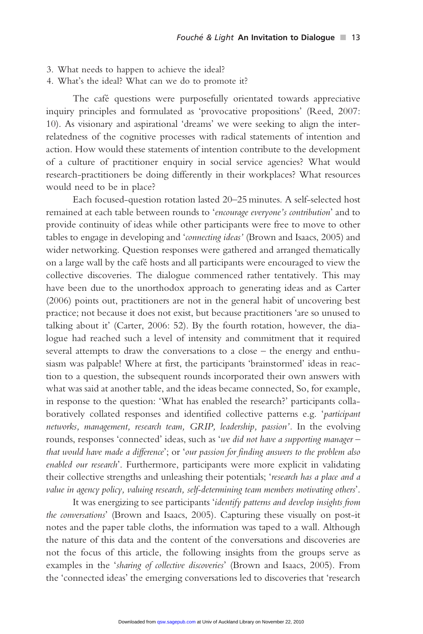- 3. What needs to happen to achieve the ideal?
- 4. What's the ideal? What can we do to promote it?

The café questions were purposefully orientated towards appreciative inquiry principles and formulated as 'provocative propositions' (Reed, 2007: 10). As visionary and aspirational 'dreams' we were seeking to align the interrelatedness of the cognitive processes with radical statements of intention and action. How would these statements of intention contribute to the development of a culture of practitioner enquiry in social service agencies? What would research-practitioners be doing differently in their workplaces? What resources would need to be in place?

Each focused-question rotation lasted 20–25 minutes. A self-selected host remained at each table between rounds to 'encourage everyone's contribution' and to provide continuity of ideas while other participants were free to move to other tables to engage in developing and 'connecting ideas' (Brown and Isaacs, 2005) and wider networking. Question responses were gathered and arranged thematically on a large wall by the café hosts and all participants were encouraged to view the collective discoveries. The dialogue commenced rather tentatively. This may have been due to the unorthodox approach to generating ideas and as Carter (2006) points out, practitioners are not in the general habit of uncovering best practice; not because it does not exist, but because practitioners 'are so unused to talking about it' (Carter, 2006: 52). By the fourth rotation, however, the dialogue had reached such a level of intensity and commitment that it required several attempts to draw the conversations to a close – the energy and enthusiasm was palpable! Where at first, the participants 'brainstormed' ideas in reaction to a question, the subsequent rounds incorporated their own answers with what was said at another table, and the ideas became connected, So, for example, in response to the question: 'What has enabled the research?' participants collaboratively collated responses and identified collective patterns e.g. 'participant networks, management, research team, GRIP, leadership, passion'. In the evolving rounds, responses 'connected' ideas, such as 'we did not have a supporting manager – that would have made a difference'; or 'our passion for finding answers to the problem also enabled our research'. Furthermore, participants were more explicit in validating their collective strengths and unleashing their potentials; 'research has a place and a value in agency policy, valuing research, self-determining team members motivating others'.

It was energizing to see participants 'identify patterns and develop insights from the conversations' (Brown and Isaacs, 2005). Capturing these visually on post-it notes and the paper table cloths, the information was taped to a wall. Although the nature of this data and the content of the conversations and discoveries are not the focus of this article, the following insights from the groups serve as examples in the 'sharing of collective discoveries' (Brown and Isaacs, 2005). From the 'connected ideas' the emerging conversations led to discoveries that 'research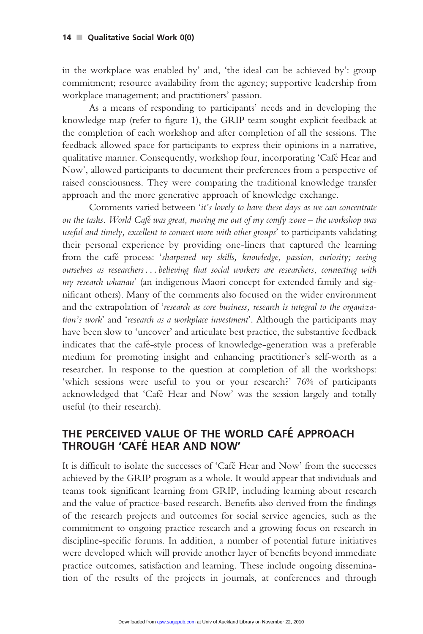in the workplace was enabled by' and, 'the ideal can be achieved by': group commitment; resource availability from the agency; supportive leadership from workplace management; and practitioners' passion.

As a means of responding to participants' needs and in developing the knowledge map (refer to figure 1), the GRIP team sought explicit feedback at the completion of each workshop and after completion of all the sessions. The feedback allowed space for participants to express their opinions in a narrative, qualitative manner. Consequently, workshop four, incorporating 'Cafe´ Hear and Now', allowed participants to document their preferences from a perspective of raised consciousness. They were comparing the traditional knowledge transfer approach and the more generative approach of knowledge exchange.

Comments varied between 'it's lovely to have these days as we can concentrate on the tasks. World Café was great, moving me out of my comfy zone  $-$  the workshop was useful and timely, excellent to connect more with other groups' to participants validating their personal experience by providing one-liners that captured the learning from the café process: 'sharpened my skills, knowledge, passion, curiosity; seeing ourselves as researchers ...believing that social workers are researchers, connecting with my research whanau' (an indigenous Maori concept for extended family and significant others). Many of the comments also focused on the wider environment and the extrapolation of 'research as core business, research is integral to the organization's work' and 'research as a workplace investment'. Although the participants may have been slow to 'uncover' and articulate best practice, the substantive feedback indicates that the café-style process of knowledge-generation was a preferable medium for promoting insight and enhancing practitioner's self-worth as a researcher. In response to the question at completion of all the workshops: 'which sessions were useful to you or your research?' 76% of participants acknowledged that 'Cafe´ Hear and Now' was the session largely and totally useful (to their research).

# THE PERCEIVED VALUE OF THE WORLD CAFE´ APPROACH THROUGH 'CAFE´ HEAR AND NOW'

It is difficult to isolate the successes of 'Cafe´ Hear and Now' from the successes achieved by the GRIP program as a whole. It would appear that individuals and teams took significant learning from GRIP, including learning about research and the value of practice-based research. Benefits also derived from the findings of the research projects and outcomes for social service agencies, such as the commitment to ongoing practice research and a growing focus on research in discipline-specific forums. In addition, a number of potential future initiatives were developed which will provide another layer of benefits beyond immediate practice outcomes, satisfaction and learning. These include ongoing dissemination of the results of the projects in journals, at conferences and through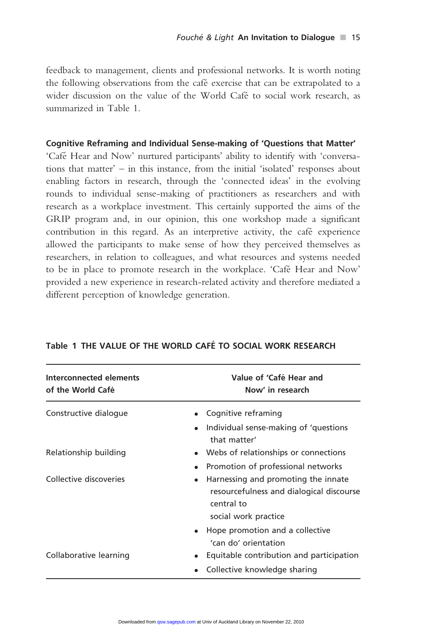feedback to management, clients and professional networks. It is worth noting the following observations from the café exercise that can be extrapolated to a wider discussion on the value of the World Café to social work research, as summarized in Table 1.

#### Cognitive Reframing and Individual Sense-making of 'Questions that Matter'

'Cafe´ Hear and Now' nurtured participants' ability to identify with 'conversations that matter' – in this instance, from the initial 'isolated' responses about enabling factors in research, through the 'connected ideas' in the evolving rounds to individual sense-making of practitioners as researchers and with research as a workplace investment. This certainly supported the aims of the GRIP program and, in our opinion, this one workshop made a significant contribution in this regard. As an interpretive activity, the café experience allowed the participants to make sense of how they perceived themselves as researchers, in relation to colleagues, and what resources and systems needed to be in place to promote research in the workplace. 'Café Hear and Now' provided a new experience in research-related activity and therefore mediated a different perception of knowledge generation.

| Interconnected elements<br>of the World Café | Value of 'Café Hear and<br>Now' in research                                                                                        |
|----------------------------------------------|------------------------------------------------------------------------------------------------------------------------------------|
| Constructive dialogue                        | Cognitive reframing                                                                                                                |
|                                              | Individual sense-making of 'questions'<br>that matter'                                                                             |
| Relationship building                        | Webs of relationships or connections                                                                                               |
|                                              | Promotion of professional networks                                                                                                 |
| Collective discoveries                       | Harnessing and promoting the innate<br>$\bullet$<br>resourcefulness and dialogical discourse<br>central to<br>social work practice |
|                                              | Hope promotion and a collective<br>'can do' orientation                                                                            |
| Collaborative learning                       | Equitable contribution and participation                                                                                           |
|                                              | Collective knowledge sharing                                                                                                       |

## Table 1 THE VALUE OF THE WORLD CAFÉ TO SOCIAL WORK RESEARCH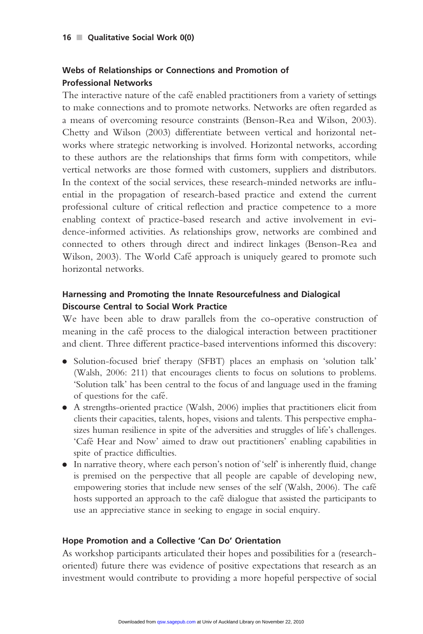#### Webs of Relationships or Connections and Promotion of Professional Networks

The interactive nature of the café enabled practitioners from a variety of settings to make connections and to promote networks. Networks are often regarded as a means of overcoming resource constraints (Benson-Rea and Wilson, 2003). Chetty and Wilson (2003) differentiate between vertical and horizontal networks where strategic networking is involved. Horizontal networks, according to these authors are the relationships that firms form with competitors, while vertical networks are those formed with customers, suppliers and distributors. In the context of the social services, these research-minded networks are influential in the propagation of research-based practice and extend the current professional culture of critical reflection and practice competence to a more enabling context of practice-based research and active involvement in evidence-informed activities. As relationships grow, networks are combined and connected to others through direct and indirect linkages (Benson-Rea and Wilson, 2003). The World Café approach is uniquely geared to promote such horizontal networks.

## Harnessing and Promoting the Innate Resourcefulness and Dialogical Discourse Central to Social Work Practice

We have been able to draw parallels from the co-operative construction of meaning in the café process to the dialogical interaction between practitioner and client. Three different practice-based interventions informed this discovery:

- . Solution-focused brief therapy (SFBT) places an emphasis on 'solution talk' (Walsh, 2006: 211) that encourages clients to focus on solutions to problems. 'Solution talk' has been central to the focus of and language used in the framing of questions for the cafe´.
- . A strengths-oriented practice (Walsh, 2006) implies that practitioners elicit from clients their capacities, talents, hopes, visions and talents. This perspective emphasizes human resilience in spite of the adversities and struggles of life's challenges. 'Cafe´ Hear and Now' aimed to draw out practitioners' enabling capabilities in spite of practice difficulties.
- $\bullet$  In narrative theory, where each person's notion of 'self' is inherently fluid, change is premised on the perspective that all people are capable of developing new, empowering stories that include new senses of the self (Walsh, 2006). The café hosts supported an approach to the café dialogue that assisted the participants to use an appreciative stance in seeking to engage in social enquiry.

#### Hope Promotion and a Collective 'Can Do' Orientation

As workshop participants articulated their hopes and possibilities for a (researchoriented) future there was evidence of positive expectations that research as an investment would contribute to providing a more hopeful perspective of social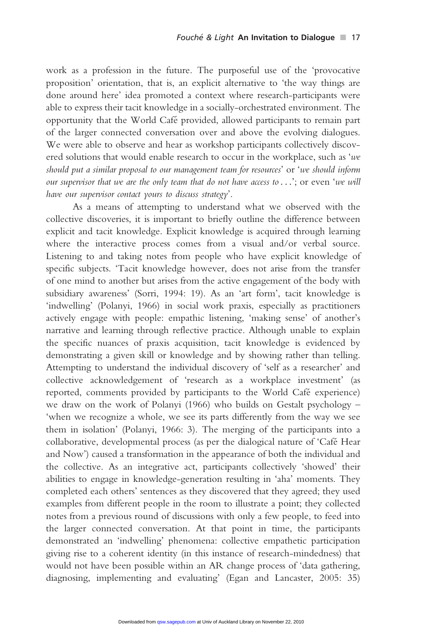work as a profession in the future. The purposeful use of the 'provocative proposition' orientation, that is, an explicit alternative to 'the way things are done around here' idea promoted a context where research-participants were able to express their tacit knowledge in a socially-orchestrated environment. The opportunity that the World Cafe´ provided, allowed participants to remain part of the larger connected conversation over and above the evolving dialogues. We were able to observe and hear as workshop participants collectively discovered solutions that would enable research to occur in the workplace, such as 'we should put a similar proposal to our management team for resources' or 'we should inform our supervisor that we are the only team that do not have access to...'; or even 'we will have our supervisor contact yours to discuss strategy'.

As a means of attempting to understand what we observed with the collective discoveries, it is important to briefly outline the difference between explicit and tacit knowledge. Explicit knowledge is acquired through learning where the interactive process comes from a visual and/or verbal source. Listening to and taking notes from people who have explicit knowledge of specific subjects. 'Tacit knowledge however, does not arise from the transfer of one mind to another but arises from the active engagement of the body with subsidiary awareness' (Sorri, 1994: 19). As an 'art form', tacit knowledge is 'indwelling' (Polanyi, 1966) in social work praxis, especially as practitioners actively engage with people: empathic listening, 'making sense' of another's narrative and learning through reflective practice. Although unable to explain the specific nuances of praxis acquisition, tacit knowledge is evidenced by demonstrating a given skill or knowledge and by showing rather than telling. Attempting to understand the individual discovery of 'self as a researcher' and collective acknowledgement of 'research as a workplace investment' (as reported, comments provided by participants to the World Café experience) we draw on the work of Polanyi (1966) who builds on Gestalt psychology – 'when we recognize a whole, we see its parts differently from the way we see them in isolation' (Polanyi, 1966: 3). The merging of the participants into a collaborative, developmental process (as per the dialogical nature of 'Cafe´ Hear and Now') caused a transformation in the appearance of both the individual and the collective. As an integrative act, participants collectively 'showed' their abilities to engage in knowledge-generation resulting in 'aha' moments. They completed each others' sentences as they discovered that they agreed; they used examples from different people in the room to illustrate a point; they collected notes from a previous round of discussions with only a few people, to feed into the larger connected conversation. At that point in time, the participants demonstrated an 'indwelling' phenomena: collective empathetic participation giving rise to a coherent identity (in this instance of research-mindedness) that would not have been possible within an AR change process of 'data gathering, diagnosing, implementing and evaluating' (Egan and Lancaster, 2005: 35)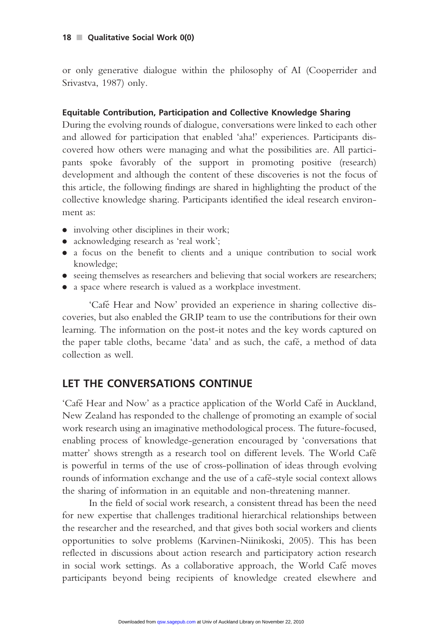or only generative dialogue within the philosophy of AI (Cooperrider and Srivastva, 1987) only.

#### Equitable Contribution, Participation and Collective Knowledge Sharing

During the evolving rounds of dialogue, conversations were linked to each other and allowed for participation that enabled 'aha!' experiences. Participants discovered how others were managing and what the possibilities are. All participants spoke favorably of the support in promoting positive (research) development and although the content of these discoveries is not the focus of this article, the following findings are shared in highlighting the product of the collective knowledge sharing. Participants identified the ideal research environment as:

- . involving other disciplines in their work;
- acknowledging research as 'real work';
- . a focus on the benefit to clients and a unique contribution to social work knowledge;
- . seeing themselves as researchers and believing that social workers are researchers;
- . a space where research is valued as a workplace investment.

'Café Hear and Now' provided an experience in sharing collective discoveries, but also enabled the GRIP team to use the contributions for their own learning. The information on the post-it notes and the key words captured on the paper table cloths, became 'data' and as such, the café, a method of data collection as well.

# LET THE CONVERSATIONS CONTINUE

'Cafe´ Hear and Now' as a practice application of the World Cafe´ in Auckland, New Zealand has responded to the challenge of promoting an example of social work research using an imaginative methodological process. The future-focused, enabling process of knowledge-generation encouraged by 'conversations that matter' shows strength as a research tool on different levels. The World Cafe´ is powerful in terms of the use of cross-pollination of ideas through evolving rounds of information exchange and the use of a café-style social context allows the sharing of information in an equitable and non-threatening manner.

In the field of social work research, a consistent thread has been the need for new expertise that challenges traditional hierarchical relationships between the researcher and the researched, and that gives both social workers and clients opportunities to solve problems (Karvinen-Niinikoski, 2005). This has been reflected in discussions about action research and participatory action research in social work settings. As a collaborative approach, the World Café moves participants beyond being recipients of knowledge created elsewhere and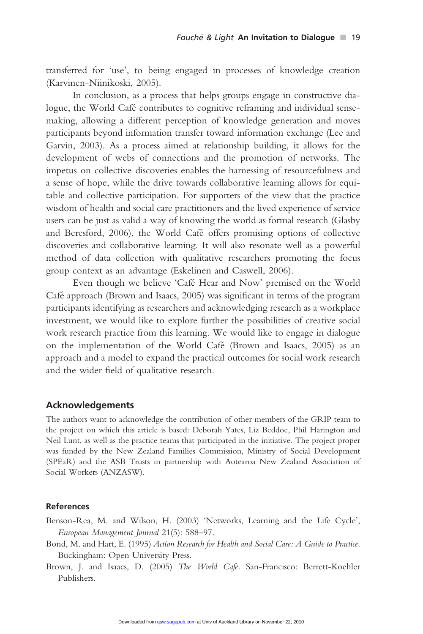transferred for 'use', to being engaged in processes of knowledge creation (Karvinen-Niinikoski, 2005).

In conclusion, as a process that helps groups engage in constructive dialogue, the World Café contributes to cognitive reframing and individual sensemaking, allowing a different perception of knowledge generation and moves participants beyond information transfer toward information exchange (Lee and Garvin, 2003). As a process aimed at relationship building, it allows for the development of webs of connections and the promotion of networks. The impetus on collective discoveries enables the harnessing of resourcefulness and a sense of hope, while the drive towards collaborative learning allows for equitable and collective participation. For supporters of the view that the practice wisdom of health and social care practitioners and the lived experience of service users can be just as valid a way of knowing the world as formal research (Glasby and Beresford, 2006), the World Café offers promising options of collective discoveries and collaborative learning. It will also resonate well as a powerful method of data collection with qualitative researchers promoting the focus group context as an advantage (Eskelinen and Caswell, 2006).

Even though we believe 'Café Hear and Now' premised on the World Café approach (Brown and Isaacs, 2005) was significant in terms of the program participants identifying as researchers and acknowledging research as a workplace investment, we would like to explore further the possibilities of creative social work research practice from this learning. We would like to engage in dialogue on the implementation of the World Cafe´ (Brown and Isaacs, 2005) as an approach and a model to expand the practical outcomes for social work research and the wider field of qualitative research.

#### Acknowledgements

The authors want to acknowledge the contribution of other members of the GRIP team to the project on which this article is based: Deborah Yates, Liz Beddoe, Phil Harington and Neil Lunt, as well as the practice teams that participated in the initiative. The project proper was funded by the New Zealand Families Commission, Ministry of Social Development (SPEaR) and the ASB Trusts in partnership with Aotearoa New Zealand Association of Social Workers (ANZASW).

#### References

Benson-Rea, M. and Wilson, H. (2003) 'Networks, Learning and the Life Cycle', European Management Journal 21(5): 588–97.

- Bond, M. and Hart, E. (1995) Action Research for Health and Social Care: A Guide to Practice. Buckingham: Open University Press.
- Brown, J. and Isaacs, D. (2005) The World Cafe. San-Francisco: Berrett-Koehler Publishers.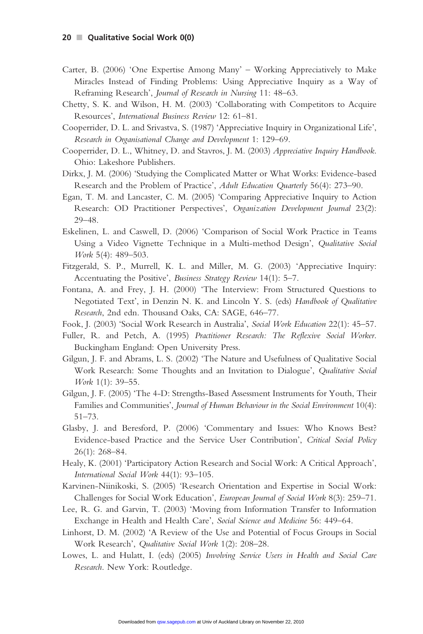- Carter, B. (2006) 'One Expertise Among Many' Working Appreciatively to Make Miracles Instead of Finding Problems: Using Appreciative Inquiry as a Way of Reframing Research', Journal of Research in Nursing 11: 48–63.
- Chetty, S. K. and Wilson, H. M. (2003) 'Collaborating with Competitors to Acquire Resources', International Business Review 12: 61–81.
- Cooperrider, D. L. and Srivastva, S. (1987) 'Appreciative Inquiry in Organizational Life', Research in Organisational Change and Development 1: 129–69.
- Cooperrider, D. L., Whitney, D. and Stavros, J. M. (2003) Appreciative Inquiry Handbook. Ohio: Lakeshore Publishers.
- Dirkx, J. M. (2006) 'Studying the Complicated Matter or What Works: Evidence-based Research and the Problem of Practice', Adult Education Quarterly 56(4): 273–90.
- Egan, T. M. and Lancaster, C. M. (2005) 'Comparing Appreciative Inquiry to Action Research: OD Practitioner Perspectives', Organization Development Journal 23(2): 29–48.
- Eskelinen, L. and Caswell, D. (2006) 'Comparison of Social Work Practice in Teams Using a Video Vignette Technique in a Multi-method Design', Qualitative Social Work 5(4): 489–503.
- Fitzgerald, S. P., Murrell, K. L. and Miller, M. G. (2003) 'Appreciative Inquiry: Accentuating the Positive', Business Strategy Review 14(1): 5–7.
- Fontana, A. and Frey, J. H. (2000) 'The Interview: From Structured Questions to Negotiated Text', in Denzin N. K. and Lincoln Y. S. (eds) Handbook of Qualitative Research, 2nd edn. Thousand Oaks, CA: SAGE, 646–77.
- Fook, J. (2003) 'Social Work Research in Australia', Social Work Education 22(1): 45–57.
- Fuller, R. and Petch, A. (1995) Practitioner Research: The Reflexive Social Worker. Buckingham England: Open University Press.
- Gilgun, J. F. and Abrams, L. S. (2002) 'The Nature and Usefulness of Qualitative Social Work Research: Some Thoughts and an Invitation to Dialogue', Qualitative Social Work 1(1): 39–55.
- Gilgun, J. F. (2005) 'The 4-D: Strengths-Based Assessment Instruments for Youth, Their Families and Communities', Journal of Human Behaviour in the Social Environment 10(4): 51–73.
- Glasby, J. and Beresford, P. (2006) 'Commentary and Issues: Who Knows Best? Evidence-based Practice and the Service User Contribution', Critical Social Policy 26(1): 268–84.
- Healy, K. (2001) 'Participatory Action Research and Social Work: A Critical Approach', International Social Work 44(1): 93–105.
- Karvinen-Niinikoski, S. (2005) 'Research Orientation and Expertise in Social Work: Challenges for Social Work Education', European Journal of Social Work 8(3): 259–71.
- Lee, R. G. and Garvin, T. (2003) 'Moving from Information Transfer to Information Exchange in Health and Health Care', Social Science and Medicine 56: 449–64.
- Linhorst, D. M. (2002) 'A Review of the Use and Potential of Focus Groups in Social Work Research', Qualitative Social Work 1(2): 208–28.
- Lowes, L. and Hulatt, I. (eds) (2005) Involving Service Users in Health and Social Care Research. New York: Routledge.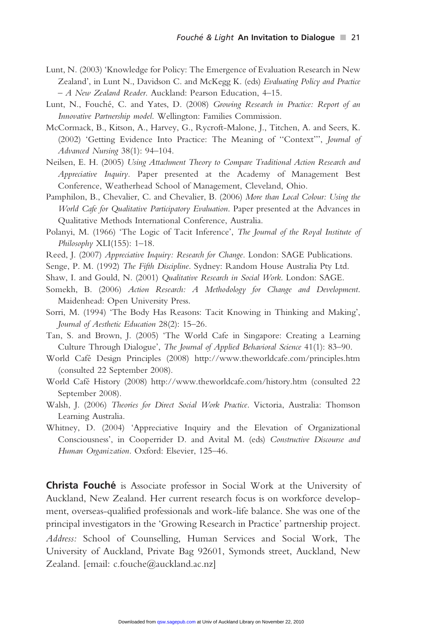- Lunt, N. (2003) 'Knowledge for Policy: The Emergence of Evaluation Research in New Zealand', in Lunt N., Davidson C. and McKegg K. (eds) Evaluating Policy and Practice – A New Zealand Reader. Auckland: Pearson Education, 4–15.
- Lunt, N., Fouché, C. and Yates, D. (2008) Growing Research in Practice: Report of an Innovative Partnership model. Wellington: Families Commission.
- McCormack, B., Kitson, A., Harvey, G., Rycroft-Malone, J., Titchen, A. and Seers, K. (2002) 'Getting Evidence Into Practice: The Meaning of ''Context''', Journal of Advanced Nursing 38(1): 94–104.
- Neilsen, E. H. (2005) Using Attachment Theory to Compare Traditional Action Research and Appreciative Inquiry. Paper presented at the Academy of Management Best Conference, Weatherhead School of Management, Cleveland, Ohio.
- Pamphilon, B., Chevalier, C. and Chevalier, B. (2006) More than Local Colour: Using the World Cafe for Qualitative Participatory Evaluation. Paper presented at the Advances in Qualitative Methods International Conference, Australia.
- Polanyi, M. (1966) 'The Logic of Tacit Inference', The Journal of the Royal Institute of Philosophy XLI(155): 1-18.
- Reed, J. (2007) Appreciative Inquiry: Research for Change. London: SAGE Publications.
- Senge, P. M. (1992) The Fifth Discipline. Sydney: Random House Australia Pty Ltd.
- Shaw, I. and Gould, N. (2001) Qualitative Research in Social Work. London: SAGE.
- Somekh, B. (2006) Action Research: A Methodology for Change and Development. Maidenhead: Open University Press.
- Sorri, M. (1994) 'The Body Has Reasons: Tacit Knowing in Thinking and Making', Journal of Aesthetic Education 28(2): 15–26.
- Tan, S. and Brown, J. (2005) 'The World Cafe in Singapore: Creating a Learning Culture Through Dialogue', The Journal of Applied Behavioral Science 41(1): 83–90.
- World Cafe´ Design Principles (2008) http://www.theworldcafe.com/principles.htm (consulted 22 September 2008).
- World Cafe´ History (2008) http://www.theworldcafe.com/history.htm (consulted 22 September 2008).
- Walsh, J. (2006) Theories for Direct Social Work Practice. Victoria, Australia: Thomson Learning Australia.
- Whitney, D. (2004) 'Appreciative Inquiry and the Elevation of Organizational Consciousness', in Cooperrider D. and Avital M. (eds) Constructive Discourse and Human Organization. Oxford: Elsevier, 125–46.

**Christa Fouché** is Associate professor in Social Work at the University of Auckland, New Zealand. Her current research focus is on workforce development, overseas-qualified professionals and work-life balance. She was one of the principal investigators in the 'Growing Research in Practice' partnership project. Address: School of Counselling, Human Services and Social Work, The University of Auckland, Private Bag 92601, Symonds street, Auckland, New Zealand. [email: c.fouche@auckland.ac.nz]